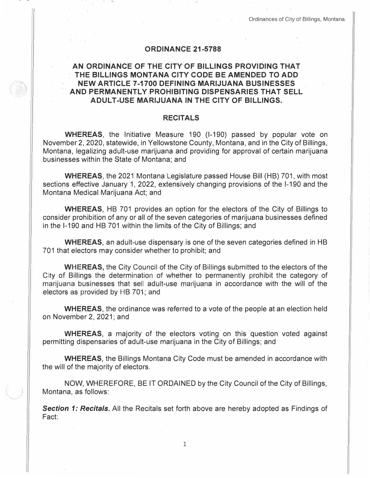## **ORDINANCE 21-5788**

## **AN ORDINANCE OF THE CITY OF BILLINGS PROVIDING THAT THE BILLINGS MONTANA CITY CODE BE AMENDED TO ADD NEW ARTICLE 7-1700 DEFINING MARIJUANA BUSINESSES AND PERMANENTLY PROHIBITING DISPENSARIES THAT SELL ADULT-USE MARIJUANA IN THE CITY OF BILLINGS.**

## **RECITALS**

**WHEREAS,** the Initiative Measure 190 (1-190) passed by popular vote on November 2, 2020, statewide, in Yellowstone County, Montana, and in the City of Billings, Montana, legalizing adult-use marijuana and providing for approval of certain marijuana businesses within the State of Montana; and

**WHEREAS,** the 2021 Montana Legislature passed House Bill (HB) 701, with most sections effective January 1, 2022, extensively changing provisions of the 1-190 and the Montana Medical Marijuana Act; and

**WHEREAS,** HB 701 provides an option for the electors of the City of Billings to consider prohibition of any or all of the seven categories of marijuana businesses defined in the 1-190 and HB 701 within the limits of the City of Billings; and

**WHEREAS,** an adult-use dispensary is one of the seven categories defined in HB 701 that electors may consider whether to prohibit; and

**WHEREAS,** the City Council of the City of Billings submitted to the electors of the City of Billings the determination of whether to permanently prohibit the category of marijuana businesses that sell adult-use marijuana in accordance with the will of the electors as provided by HB 701; and

**WHEREAS,** the ordinance was referred to a vote of the people at an election held on November 2, 2021; and

**WHEREAS,** a majority of the electors voting on this question voted against permitting dispensaries of adult-use marijuana in the City of Billings; and

**WHEREAS,** the Billings Montana City Code must be amended in accordance with the will of the majority of electors.

NOW, WHEREFORE, BE IT ORDAINED by the City Council of the City of Billings, Montana, as follows:

**Section 1: Recitals.** All the Recitals set forth above are hereby adopted as Findings of Fact: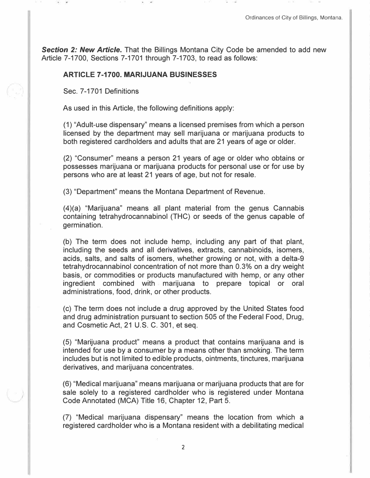**Section 2: New Article.** That the Billings Montana City Code be amended to add new Article 7-1700, Sections 7-1701 through 7-1703, to read as follows:

## **ARTICLE 7-1700. MARIJUANA BUSINESSES**

Sec. 7-1701 Definitions

*)* 

As used in this Article, the following definitions apply:

(1) "Adult-use dispensary" means a licensed premises from which a person licensed by the department may sell marijuana or marijuana products to both registered cardholders and adults that are 21 years of age or older.

(2) "Consumer" means a person 21 years of age or older who obtains or possesses marijuana or marijuana products for personal use or for use by persons who are at least 21 years of age, but not for resale.

(3) "Department" means the Montana Department of Revenue.

(4)(a) "Marijuana" means all plant material from the genus Cannabis containing tetrahydrocannabinol (THC) or seeds of the genus capable of germination.

(b) The term does not include hemp, including any part of that plant, including the seeds and all derivatives, extracts, cannabinoids, isomers, acids, salts, and salts of isomers, whether growing or not, with a delta-9 tetrahydrocannabinol concentration of not more than 0.3% on a dry weight basis, or commodities or products manufactured with hemp, or any other ingredient combined with marijuana to prepare topical or oral administrations, food, drink, or other products.

(c) The term does not include a drug approved by the United States food and drug administration pursuant to section 505 of the Federal Food, Drug, and Cosmetic Act, 21 U.S. C. 301, et seq.

(5) "Marijuana product" means a product that contains marijuana and is intended for use by a consumer by a means other than smoking. The term includes but is not limited to edible products, ointments, tinctures, marijuana derivatives, and marijuana concentrates.

(6) "Medical marijuana" means marijuana or marijuana products that are for sale solely to a registered cardholder who is registered under Montana Code Annotated (MCA) Title 16, Chapter 12, Part 5.

(7) "Medical marijuana dispensary" means the location from which a registered cardholder who is a Montana resident with a debilitating medical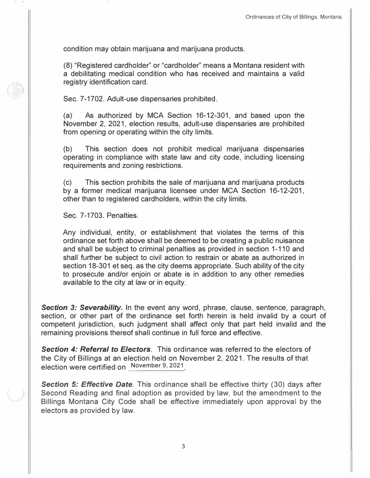condition may obtain marijuana and marijuana products.

(8) "Registered cardholder" or "cardholder" means a Montana resident with a debilitating medical condition who has received and maintains a valid registry identification card.

Sec. 7-1702. Adult-use dispensaries prohibited.

(a)' As authorized by MCA Section 16-12-301, and based upon the November 2, 2021, election results, adult-use dispensaries are prohibited from opening or operating within the city limits.

(b) This section does not prohibit medical marijuana dispensaries operating in compliance with state law and city code, including licensing requirements and zoning restrictions.

(c) This section prohibits the sale of marijuana and marijuana products by a former medical marijuana licensee under MCA Section 16-12-201, other than to registered cardholders, within the city limits.

Sec. 7-1703. Penalties.

Any individual, entity, or establishment that violates the terms of this ordinance set forth above shall be deemed to be creating a public nuisance and shall be subject to criminal penalties as provided in section 1-110 and shall further be subject to civil action to restrain or abate as authorized in section 18-301 et seq. as the city deems appropriate. Such ability of the city to prosecute and/or enjoin or abate is in addition to any other remedies available to the city at law or in equity.

**Section 3: Severability.** In the event any word, phrase, clause, sentence, paragraph, section, or other part of the ordinance set forth herein is held invalid by a court of competent jurisdiction, such judgment shall affect only that part held invalid and the remaining provisions thereof shall continue in full force and effective.

*Section 4: Referral to Electors.* This ordinance was referred to the electors of the City of Billings at an election held on November 2, 2021. The results of that election were certified on November 9, 2021

**Section 5: Effective Date**. This ordinance shall be effective thirty (30) days after Second Reading and final adoption as provided by law, but the amendment to the Billings Montana City Code shall be effective immediately upon approval by the electors as provided by law.